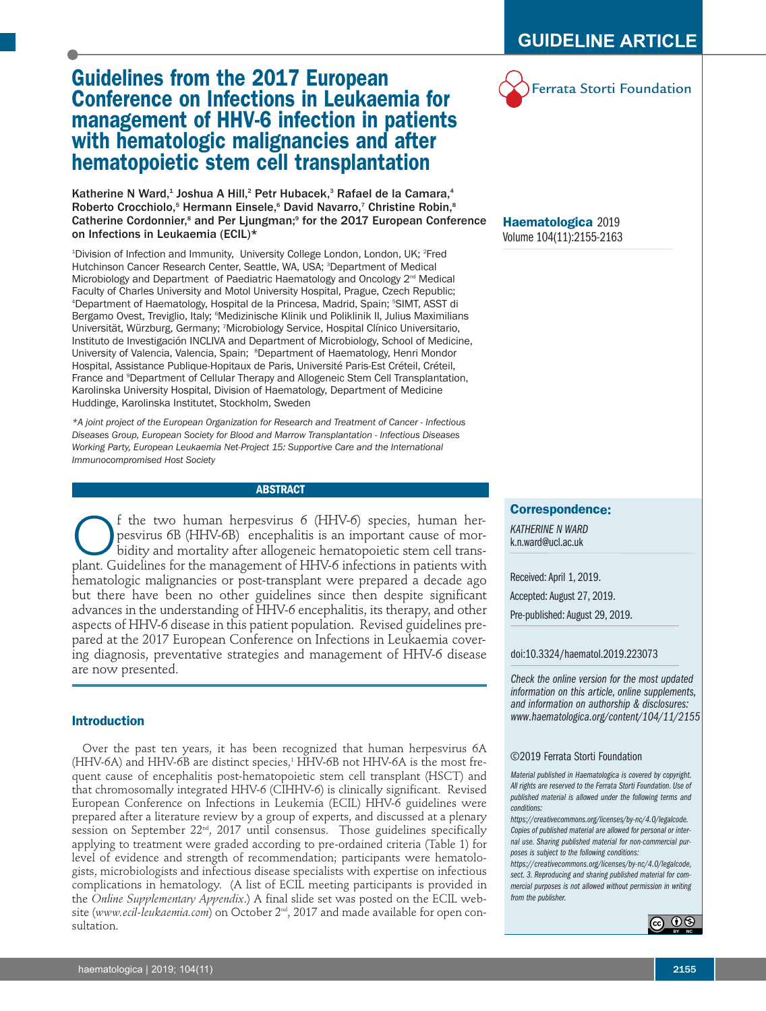## **Guidelines from the 2017 European Conference on Infections in Leukaemia for management of HHV-6 infection in patients with hematologic malignancies and after hematopoietic stem cell transplantation**

Katherine N Ward,<sup>1</sup> Joshua A Hill,<sup>2</sup> Petr Hubacek,<sup>3</sup> Rafael de la Camara,<sup>4</sup> Roberto Crocchiolo,<sup>5</sup> Hermann Einsele,<sup>6</sup> David Navarro,<sup>7</sup> Christine Robin,<sup>8</sup> Catherine Cordonnier,<sup>8</sup> and Per Ljungman;<sup>9</sup> for the 2017 European Conference on Infections in Leukaemia (ECIL)\*

<sup>1</sup>Division of Infection and Immunity, University College London, London, UK; <sup>2</sup>Fred Hutchinson Cancer Research Center, Seattle, WA, USA; <sup>3</sup>Department of Medical Microbiology and Department of Paediatric Haematology and Oncology 2<sup>nd</sup> Medical Faculty of Charles University and Motol University Hospital, Prague, Czech Republic; 4 Department of Haematology, Hospital de la Princesa, Madrid, Spain; <sup>5</sup> SIMT, ASST di Bergamo Ovest, Treviglio, Italy; <sup>6</sup>Medizinische Klinik und Poliklinik II, Julius Maximilians Universität, Würzburg, Germany; <sup>7</sup> Microbiology Service, Hospital Clínico Universitario, Instituto de Investigación INCLIVA and Department of Microbiology, School of Medicine, University of Valencia, Valencia, Spain; <sup>8</sup>Department of Haematology, Henri Mondor Hospital, Assistance Publique-Hopitaux de Paris, Université Paris-Est Créteil, Créteil, France and <sup>9</sup>Department of Cellular Therapy and Allogeneic Stem Cell Transplantation, Karolinska University Hospital, Division of Haematology, Department of Medicine Huddinge, Karolinska Institutet, Stockholm, Sweden

*\*A joint project of the European Organization for Research and Treatment of Cancer - Infectious Diseases Group, European Society for Blood and Marrow Transplantation - Infectious Diseases Working Party, European Leukaemia Net-Project 15: Supportive Care and the International Immunocompromised Host Society*

### **ABSTRACT**

**C** f the two human herpesvirus 6 (HHV-6) species, human herpesvirus 6B (HHV-6B) encephalitis is an important cause of morbidity and mortality after allogeneic hematopoietic stem cell trans-<br>plant. Guidelines for the manag pesvirus 6B (HHV-6B) encephalitis is an important cause of morbidity and mortality after allogeneic hematopoietic stem cell transplant. Guidelines for the management of HHV-6 infections in patients with hematologic malignancies or post-transplant were prepared a decade ago but there have been no other guidelines since then despite significant advances in the understanding of HHV-6 encephalitis, its therapy, and other aspects of HHV-6 disease in this patient population. Revised guidelines prepared at the 2017 European Conference on Infections in Leukaemia covering diagnosis, preventative strategies and management of HHV-6 disease are now presented.

### **Introduction**

Over the past ten years, it has been recognized that human herpesvirus 6A (HHV-6A) and HHV-6B are distinct species, <sup>1</sup> HHV-6B not HHV-6A is the most frequent cause of encephalitis post-hematopoietic stem cell transplant (HSCT) and that chromosomally integrated HHV-6 (CIHHV-6) is clinically significant. Revised European Conference on Infections in Leukemia (ECIL) HHV-6 guidelines were prepared after a literature review by a group of experts, and discussed at a plenary session on September 22<sup>nd</sup>, 2017 until consensus. Those guidelines specifically applying to treatment were graded according to pre-ordained criteria (Table 1) for level of evidence and strength of recommendation; participants were hematologists, microbiologists and infectious disease specialists with expertise on infectious complications in hematology. (A list of ECIL meeting participants is provided in the *Online Supplementary Appendix*.) A final slide set was posted on the ECIL website (*www.ecil-leukaemia.com*) on October 2nd , 2017 and made available for open consultation.

# Ferrata Storti Foundation

### **Haematologica** 2019 Volume 104(11):2155-2163

### **Correspondence:**

*KATHERINE N WARD* k.n.ward@ucl.ac.uk

Received:April 1, 2019.

Accepted: August 27, 2019.

Pre-published: August 29, 2019.

doi:10.3324/haematol.2019.223073

*Check the online version for the most updated information on this article, online supplements, and information on authorship & disclosures: www.haematologica.org/content/104/11/2155*

### ©2019 Ferrata Storti Foundation

*Material published in Haematologica is covered by copyright. All rights are reserved to the Ferrata Storti Foundation. Use of published material is allowed under the following terms and conditions:*

*https://creativecommons.org/licenses/by-nc/4.0/legalcode. Copies of published material are allowed for personal or internal use. Sharing published material for non-commercial purposes is subject to the following conditions:*

*https://creativecommons.org/licenses/by-nc/4.0/legalcode, sect. 3. Reproducing and sharing published material for commercial purposes is not allowed without permission in writing from the publisher.*

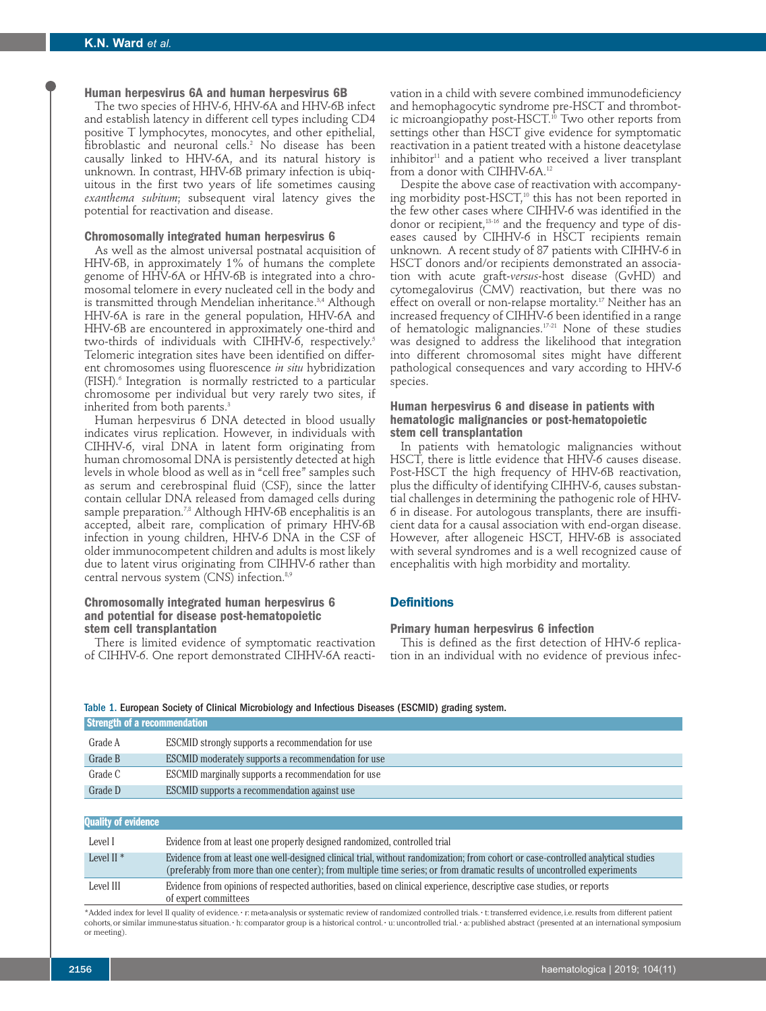### **Human herpesvirus 6A and human herpesvirus 6B**

The two species of HHV-6, HHV-6A and HHV-6B infect and establish latency in different cell types including CD4 positive T lymphocytes, monocytes, and other epithelial, fibroblastic and neuronal cells. <sup>2</sup> No disease has been causally linked to HHV-6A, and its natural history is unknown. In contrast, HHV-6B primary infection is ubiquitous in the first two years of life sometimes causing *exanthema subitum*; subsequent viral latency gives the potential for reactivation and disease.

### **Chromosomally integrated human herpesvirus 6**

As well as the almost universal postnatal acquisition of HHV-6B, in approximately 1% of humans the complete genome of HHV-6A or HHV-6B is integrated into a chromosomal telomere in every nucleated cell in the body and is transmitted through Mendelian inheritance. 3,4 Although HHV-6A is rare in the general population, HHV-6A and HHV-6B are encountered in approximately one-third and two-thirds of individuals with CIHHV-6, respectively. 5 Telomeric integration sites have been identified on different chromosomes using fluorescence *in situ* hybridization (FISH). <sup>6</sup> Integration is normally restricted to a particular chromosome per individual but very rarely two sites, if inherited from both parents. 3

Human herpesvirus 6 DNA detected in blood usually indicates virus replication. However, in individuals with CIHHV-6, viral DNA in latent form originating from human chromosomal DNA is persistently detected at high levels in whole blood as well as in "cell free" samples such as serum and cerebrospinal fluid (CSF), since the latter contain cellular DNA released from damaged cells during sample preparation. 7,8 Although HHV-6B encephalitis is an accepted, albeit rare, complication of primary HHV-6B infection in young children, HHV-6 DNA in the CSF of older immunocompetent children and adults is most likely due to latent virus originating from CIHHV-6 rather than central nervous system (CNS) infection. 8,9

### **Chromosomally integrated human herpesvirus 6 and potential for disease post-hematopoietic stem cell transplantation**

There is limited evidence of symptomatic reactivation of CIHHV-6. One report demonstrated CIHHV-6A reacti-

vation in a child with severe combined immunodeficiency and hemophagocytic syndrome pre-HSCT and thrombotic microangiopathy post-HSCT. <sup>10</sup> Two other reports from settings other than HSCT give evidence for symptomatic reactivation in a patient treated with a histone deacetylase inhibitor <sup>11</sup> and a patient who received a liver transplant from a donor with CIHHV-6A. 12

Despite the above case of reactivation with accompanying morbidity post-HSCT, <sup>10</sup> this has not been reported in the few other cases where CIHHV-6 was identified in the donor or recipient, 13-16 and the frequency and type of diseases caused by CIHHV-6 in HSCT recipients remain unknown. A recent study of 87 patients with CIHHV-6 in HSCT donors and/or recipients demonstrated an association with acute graft-*versus*-host disease (GvHD) and cytomegalovirus (CMV) reactivation, but there was no effect on overall or non-relapse mortality. <sup>17</sup> Neither has an increased frequency of CIHHV-6 been identified in a range of hematologic malignancies. 17-21 None of these studies was designed to address the likelihood that integration into different chromosomal sites might have different pathological consequences and vary according to HHV-6 species.

### **Human herpesvirus 6 and disease in patients with hematologic malignancies or post-hematopoietic stem cell transplantation**

In patients with hematologic malignancies without HSCT, there is little evidence that HHV-6 causes disease. Post-HSCT the high frequency of HHV-6B reactivation, plus the difficulty of identifying CIHHV-6, causes substantial challenges in determining the pathogenic role of HHV-6 in disease. For autologous transplants, there are insufficient data for a causal association with end-organ disease. However, after allogeneic HSCT, HHV-6B is associated with several syndromes and is a well recognized cause of encephalitis with high morbidity and mortality.

### **Definitions**

### **Primary human herpesvirus 6 infection**

This is defined as the first detection of HHV-6 replication in an individual with no evidence of previous infec-

| Strength of a recommendation |                                                     |  |  |
|------------------------------|-----------------------------------------------------|--|--|
| Grade A                      | ESCMID strongly supports a recommendation for use   |  |  |
| Grade B                      | ESCMID moderately supports a recommendation for use |  |  |
| Grade C                      | ESCMID marginally supports a recommendation for use |  |  |
| Grade D                      | ESCMID supports a recommendation against use        |  |  |
|                              |                                                     |  |  |
| <b>Ouality of evidence</b>   |                                                     |  |  |

#### Table 1. European Society of Clinical Microbiology and Infectious Diseases (ESCMID) grading system.

| <b>Quality of evidence</b> |                                                                                                                                                                                                                                                              |
|----------------------------|--------------------------------------------------------------------------------------------------------------------------------------------------------------------------------------------------------------------------------------------------------------|
| Level I                    | Evidence from at least one properly designed randomized, controlled trial                                                                                                                                                                                    |
| Level II $*$               | Evidence from at least one well-designed clinical trial, without randomization; from cohort or case-controlled analytical studies<br>(preferably from more than one center); from multiple time series; or from dramatic results of uncontrolled experiments |
| Level III                  | Evidence from opinions of respected authorities, based on clinical experience, descriptive case studies, or reports<br>of expert committees                                                                                                                  |

\*Added index for level II quality of evidence. • r: meta-analysis or systematic review of randomized controlled trials. • t: transferred evidence,i.e.results from different patient cohorts, or similar immune-status situation. • h: comparator group is a historical control. • u: uncontrolled trial. • a: published abstract (presented at an international symposium or meeting).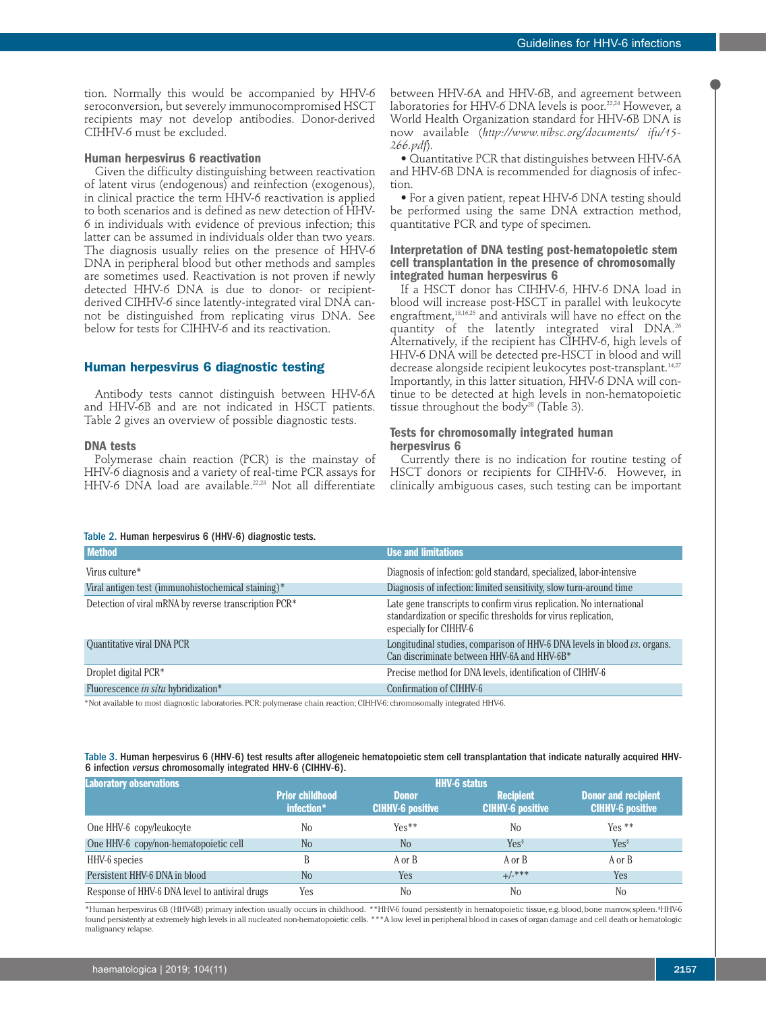tion. Normally this would be accompanied by HHV-6 seroconversion, but severely immunocompromised HSCT recipients may not develop antibodies. Donor-derived CIHHV-6 must be excluded.

### **Human herpesvirus 6 reactivation**

Given the difficulty distinguishing between reactivation of latent virus (endogenous) and reinfection (exogenous), in clinical practice the term HHV-6 reactivation is applied to both scenarios and is defined as new detection of HHV-6 in individuals with evidence of previous infection; this latter can be assumed in individuals older than two years. The diagnosis usually relies on the presence of HHV-6 DNA in peripheral blood but other methods and samples are sometimes used. Reactivation is not proven if newly detected HHV-6 DNA is due to donor- or recipientderived CIHHV-6 since latently-integrated viral DNA cannot be distinguished from replicating virus DNA. See below for tests for CIHHV-6 and its reactivation.

### **Human herpesvirus 6 diagnostic testing**

Antibody tests cannot distinguish between HHV-6A and HHV-6B and are not indicated in HSCT patients. Table 2 gives an overview of possible diagnostic tests.

### **DNA tests**

Polymerase chain reaction (PCR) is the mainstay of HHV-6 diagnosis and a variety of real-time PCR assays for HHV-6 DNA load are available. 22,23 Not all differentiate

between HHV-6A and HHV-6B, and agreement between laboratories for HHV-6 DNA levels is poor. 22,24 However, a World Health Organization standard for HHV-6B DNA is now available (*http://www.nibsc.org/documents/ ifu/15- 266.pdf*).

• Quantitative PCR that distinguishes between HHV-6A and HHV-6B DNA is recommended for diagnosis of infection.

• For a given patient, repeat HHV-6 DNA testing should be performed using the same DNA extraction method, quantitative PCR and type of specimen.

### **Interpretation of DNA testing post-hematopoietic stem cell transplantation in the presence of chromosomally integrated human herpesvirus 6**

If a HSCT donor has CIHHV-6, HHV-6 DNA load in blood will increase post-HSCT in parallel with leukocyte engraftment, 13,16,25 and antivirals will have no effect on the quantity of the latently integrated viral DNA. 26 Alternatively, if the recipient has CIHHV-6, high levels of HHV-6 DNA will be detected pre-HSCT in blood and will decrease alongside recipient leukocytes post-transplant.14,27 Importantly, in this latter situation, HHV-6 DNA will continue to be detected at high levels in non-hematopoietic tissue throughout the body<sup>28</sup> (Table 3).

### **Tests for chromosomally integrated human herpesvirus 6**

Currently there is no indication for routine testing of HSCT donors or recipients for CIHHV-6. However, in clinically ambiguous cases, such testing can be important

### Table 2. Human herpesvirus 6 (HHV-6) diagnostic tests.

| <b>Method</b>                                         | <b>Use and limitations</b>                                                                                                                                      |
|-------------------------------------------------------|-----------------------------------------------------------------------------------------------------------------------------------------------------------------|
| Virus culture*                                        | Diagnosis of infection: gold standard, specialized, labor-intensive                                                                                             |
| Viral antigen test (immunohistochemical staining)*    | Diagnosis of infection: limited sensitivity, slow turn-around time                                                                                              |
| Detection of viral mRNA by reverse transcription PCR* | Late gene transcripts to confirm virus replication. No international<br>standardization or specific thresholds for virus replication,<br>especially for CIHHV-6 |
| Quantitative viral DNA PCR                            | Longitudinal studies, comparison of HHV-6 DNA levels in blood vs. organs.<br>Can discriminate between HHV-6A and HHV-6B <sup>*</sup>                            |
| Droplet digital PCR <sup>*</sup>                      | Precise method for DNA levels, identification of CIHHV-6                                                                                                        |
| Fluorescence in situ hybridization*                   | Confirmation of CIHHV-6                                                                                                                                         |

\*Not available to most diagnostic laboratories.PCR: polymerase chain reaction; CIHHV-6: chromosomally integrated HHV-6.

### Table 3. Human herpesvirus 6 (HHV-6) test results after allogeneic hematopoietic stem cell transplantation that indicate naturally acquired HHV-6 infection *versus* chromosomally integrated HHV-6 (CIHHV-6).

| <b>Laboratory observations</b>                 | <b>HHV-6 status</b>                  |                                         |                                             |                                                       |  |  |
|------------------------------------------------|--------------------------------------|-----------------------------------------|---------------------------------------------|-------------------------------------------------------|--|--|
|                                                | <b>Prior childhood</b><br>infection* | <b>Donor</b><br><b>CIHHV-6 positive</b> | <b>Recipient</b><br><b>CIHHV-6 positive</b> | <b>Donor and recipient</b><br><b>CIHHV-6 positive</b> |  |  |
| One HHV-6 copy/leukocyte                       | N <sub>0</sub>                       | $Yes**$                                 | N <sub>0</sub>                              | $Yes **$                                              |  |  |
| One HHV-6 copy/non-hematopoietic cell          | N <sub>0</sub>                       | N <sub>0</sub>                          | Yes <sup>§</sup>                            | Yes <sup>§</sup>                                      |  |  |
| HHV-6 species                                  |                                      | A or B                                  | A or B                                      | A or B                                                |  |  |
| Persistent HHV-6 DNA in blood                  | N <sub>o</sub>                       | Yes                                     | $+/-***$                                    | Yes                                                   |  |  |
| Response of HHV-6 DNA level to antiviral drugs | Yes                                  | No                                      | N <sub>0</sub>                              | N <sub>0</sub>                                        |  |  |

\*Human herpesvirus 6B (HHV-6B) primary infection usually occurs in childhood. \*\*HHV-6 found persistently in hematopoietic tissue, e.g.blood,bone marrow,spleen. § HHV-6 found persistently at extremely high levels in all nucleated non-hematopoietic cells. \*\*\*A low level in peripheral blood in cases of organ damage and cell death or hematologic malignancy relapse.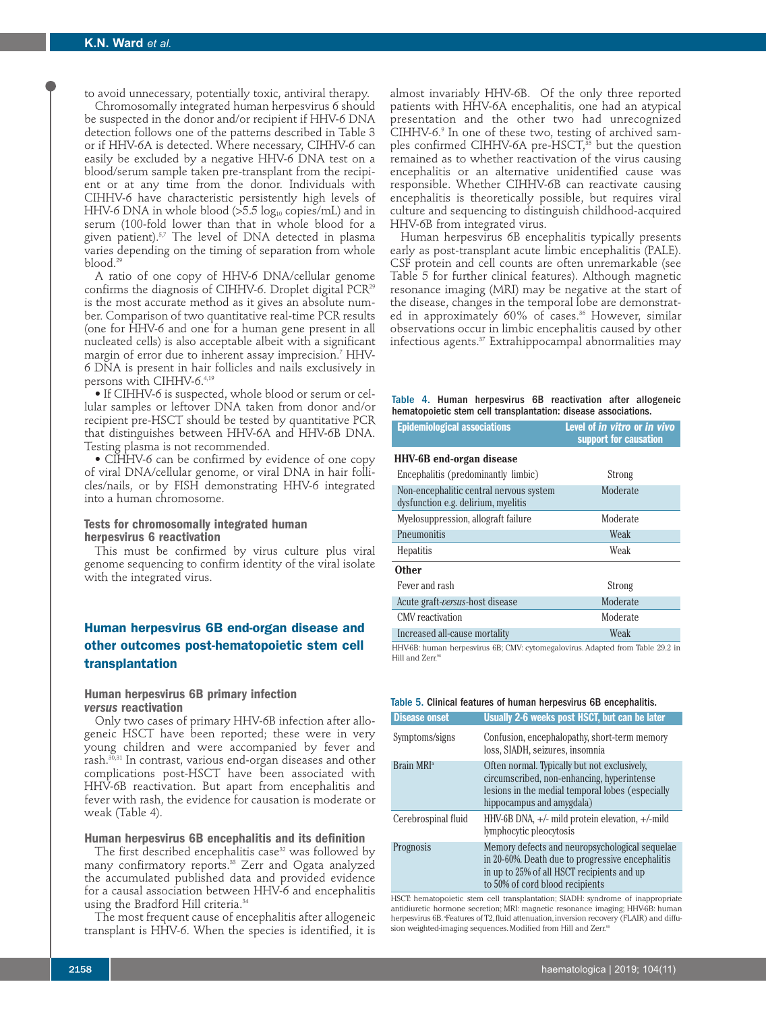to avoid unnecessary, potentially toxic, antiviral therapy. Chromosomally integrated human herpesvirus 6 should

be suspected in the donor and/or recipient if HHV-6 DNA detection follows one of the patterns described in Table 3 or if HHV-6A is detected. Where necessary, CIHHV-6 can easily be excluded by a negative HHV-6 DNA test on a blood/serum sample taken pre-transplant from the recipient or at any time from the donor. Individuals with CIHHV-6 have characteristic persistently high levels of HHV-6 DNA in whole blood  $(>5.5 \log_{10} \text{copies/mL})$  and in serum (100-fold lower than that in whole blood for a given patient). 5,7 The level of DNA detected in plasma varies depending on the timing of separation from whole blood. 29

A ratio of one copy of HHV-6 DNA/cellular genome confirms the diagnosis of CIHHV-6. Droplet digital PCR<sup>29</sup> is the most accurate method as it gives an absolute number. Comparison of two quantitative real-time PCR results (one for HHV-6 and one for a human gene present in all nucleated cells) is also acceptable albeit with a significant margin of error due to inherent assay imprecision. <sup>7</sup> HHV-6 DNA is present in hair follicles and nails exclusively in persons with CIHHV-6. 4,19

• If CIHHV-6 is suspected, whole blood or serum or cellular samples or leftover DNA taken from donor and/or recipient pre-HSCT should be tested by quantitative PCR that distinguishes between HHV-6A and HHV-6B DNA. Testing plasma is not recommended.

• CIHHV-6 can be confirmed by evidence of one copy of viral DNA/cellular genome, or viral DNA in hair follicles/nails, or by FISH demonstrating HHV-6 integrated into a human chromosome.

### **Tests for chromosomally integrated human herpesvirus 6 reactivation**

This must be confirmed by virus culture plus viral genome sequencing to confirm identity of the viral isolate with the integrated virus.

### **Human herpesvirus 6B end-organ disease and other outcomes post-hematopoietic stem cell transplantation**

### **Human herpesvirus 6B primary infection** *versus* **reactivation**

Only two cases of primary HHV-6B infection after allogeneic HSCT have been reported; these were in very young children and were accompanied by fever and rash. 30,31 In contrast, various end-organ diseases and other complications post-HSCT have been associated with HHV-6B reactivation. But apart from encephalitis and fever with rash, the evidence for causation is moderate or weak (Table 4).

### **Human herpesvirus 6B encephalitis and its definition**

The first described encephalitis case<sup>32</sup> was followed by many confirmatory reports. <sup>33</sup> Zerr and Ogata analyzed the accumulated published data and provided evidence for a causal association between HHV-6 and encephalitis using the Bradford Hill criteria. 34

The most frequent cause of encephalitis after allogeneic transplant is HHV-6. When the species is identified, it is

almost invariably HHV-6B. Of the only three reported patients with HHV-6A encephalitis, one had an atypical presentation and the other two had unrecognized CIHHV-6. <sup>9</sup> In one of these two, testing of archived samples confirmed CIHHV-6A pre-HSCT, <sup>35</sup> but the question remained as to whether reactivation of the virus causing encephalitis or an alternative unidentified cause was responsible. Whether CIHHV-6B can reactivate causing encephalitis is theoretically possible, but requires viral culture and sequencing to distinguish childhood-acquired HHV-6B from integrated virus.

Human herpesvirus 6B encephalitis typically presents early as post-transplant acute limbic encephalitis (PALE). CSF protein and cell counts are often unremarkable (see Table 5 for further clinical features). Although magnetic resonance imaging (MRI) may be negative at the start of the disease, changes in the temporal lobe are demonstrated in approximately 60% of cases. <sup>36</sup> However, similar observations occur in limbic encephalitis caused by other infectious agents. <sup>37</sup> Extrahippocampal abnormalities may

Table 4. Human herpesvirus 6B reactivation after allogeneic hematopoietic stem cell transplantation: disease associations.

| <b>Epidemiological associations</b>                                            | Level of in vitro or in vivo<br>support for causation |
|--------------------------------------------------------------------------------|-------------------------------------------------------|
| <b>HHV-6B</b> end-organ disease                                                |                                                       |
| Encephalitis (predominantly limbic)                                            | Strong                                                |
| Non-encephalitic central nervous system<br>dysfunction e.g. delirium, myelitis | Moderate                                              |
| Myelosuppression, allograft failure                                            | Moderate                                              |
| Pneumonitis                                                                    | Weak                                                  |
| Hepatitis                                                                      | Weak                                                  |
| <b>Other</b>                                                                   |                                                       |
| Fever and rash                                                                 | Strong                                                |
| Acute graft-versus-host disease                                                | Moderate                                              |
| CMV reactivation                                                               | Moderate                                              |
| Increased all-cause mortality                                                  | Weak                                                  |

HHV-6B: human herpesvirus 6B; CMV: cytomegalovirus. Adapted from Table 29.2 in Hill and Zerr. 98

|  |  |  |  |  |  |  |  | Table 5. Clinical features of human herpesvirus 6B encephalitis. |
|--|--|--|--|--|--|--|--|------------------------------------------------------------------|
|--|--|--|--|--|--|--|--|------------------------------------------------------------------|

| <b>Disease onset</b>   | Usually 2-6 weeks post HSCT, but can be later                                                                                                                                       |
|------------------------|-------------------------------------------------------------------------------------------------------------------------------------------------------------------------------------|
| Symptoms/signs         | Confusion, encephalopathy, short-term memory<br>loss, SIADH, seizures, insomnia                                                                                                     |
| Brain MRI <sup>a</sup> | Often normal. Typically but not exclusively,<br>circumscribed, non-enhancing, hyperintense<br>lesions in the medial temporal lobes (especially<br>hippocampus and amygdala)         |
| Cerebrospinal fluid    | HHV-6B DNA, $+/-$ mild protein elevation, $+/-$ mild<br>lymphocytic pleocytosis                                                                                                     |
| Prognosis              | Memory defects and neuropsychological sequelae<br>in 20-60%. Death due to progressive encephalitis<br>in up to 25% of all HSCT recipients and up<br>to 50% of cord blood recipients |

HSCT: hematopoietic stem cell transplantation; SIADH: syndrome of inappropriate antidiuretic hormone secretion; MRI: magnetic resonance imaging; HHV-6B: human herpesvirus 6B. <sup>a</sup> Features of T2, fluid attenuation, inversion recovery (FLAIR) and diffusion weighted-imaging sequences. Modified from Hill and Zerr.<sup>98</sup>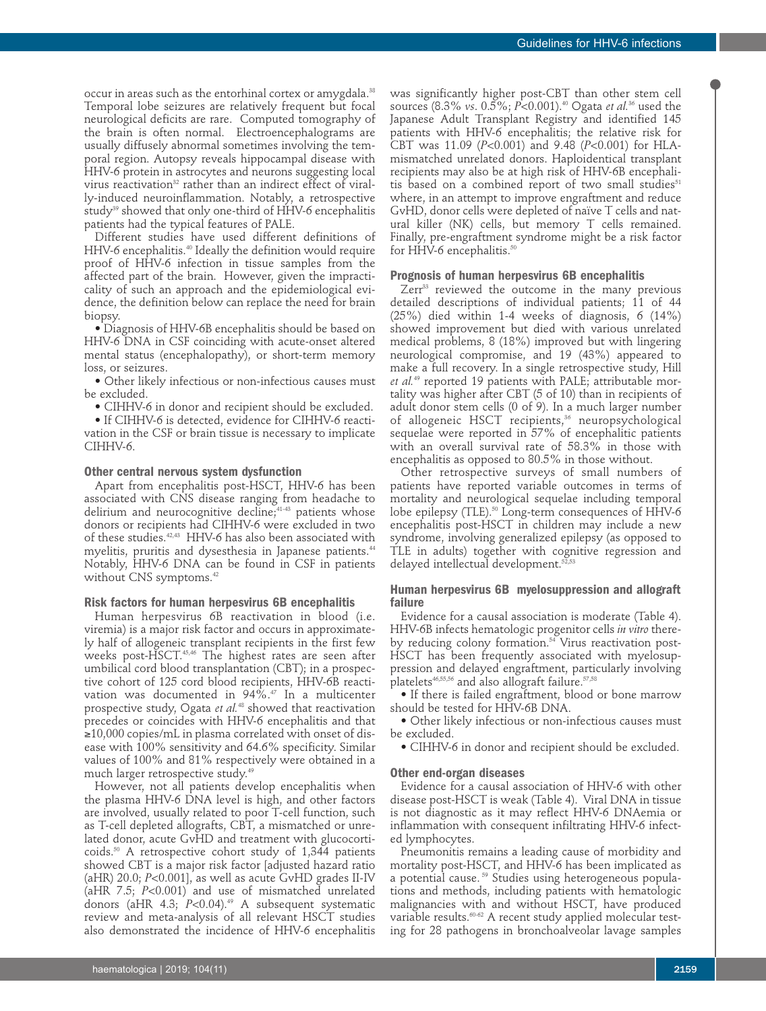occur in areas such as the entorhinal cortex or amygdala. 38 Temporal lobe seizures are relatively frequent but focal neurological deficits are rare. Computed tomography of the brain is often normal. Electroencephalograms are usually diffusely abnormal sometimes involving the temporal region. Autopsy reveals hippocampal disease with HHV-6 protein in astrocytes and neurons suggesting local virus reactivation<sup>32</sup> rather than an indirect effect of virally-induced neuroinflammation. Notably, a retrospective study<sup>39</sup> showed that only one-third of HHV-6 encephalitis patients had the typical features of PALE.

Different studies have used different definitions of HHV-6 encephalitis. <sup>40</sup> Ideally the definition would require proof of HHV-6 infection in tissue samples from the affected part of the brain. However, given the impracticality of such an approach and the epidemiological evidence, the definition below can replace the need for brain biopsy.

• Diagnosis of HHV-6B encephalitis should be based on HHV-6 DNA in CSF coinciding with acute-onset altered mental status (encephalopathy), or short-term memory loss, or seizures.

• Other likely infectious or non-infectious causes must be excluded.

• CIHHV-6 in donor and recipient should be excluded.

• If CIHHV-6 is detected, evidence for CIHHV-6 reactivation in the CSF or brain tissue is necessary to implicate CIHHV-6.

### **Other central nervous system dysfunction**

Apart from encephalitis post-HSCT, HHV-6 has been associated with CNS disease ranging from headache to delirium and neurocognitive decline; 41-43 patients whose donors or recipients had CIHHV-6 were excluded in two of these studies. 42,43 HHV-6 has also been associated with myelitis, pruritis and dysesthesia in Japanese patients. 44 Notably, HHV-6 DNA can be found in CSF in patients without CNS symptoms. 42

#### **Risk factors for human herpesvirus 6B encephalitis**

Human herpesvirus 6B reactivation in blood (i.e. viremia) is a major risk factor and occurs in approximately half of allogeneic transplant recipients in the first few weeks post-HSCT. 45,46 The highest rates are seen after umbilical cord blood transplantation (CBT); in a prospective cohort of 125 cord blood recipients, HHV-6B reactivation was documented in 94%. <sup>47</sup> In a multicenter prospective study, Ogata *et al.* <sup>48</sup> showed that reactivation precedes or coincides with HHV-6 encephalitis and that ≥10,000 copies/mL in plasma correlated with onset of disease with 100% sensitivity and 64.6% specificity. Similar values of 100% and 81% respectively were obtained in a much larger retrospective study. 49

However, not all patients develop encephalitis when the plasma HHV-6 DNA level is high, and other factors are involved, usually related to poor T-cell function, such as T-cell depleted allografts, CBT, a mismatched or unrelated donor, acute GvHD and treatment with glucocorticoids. <sup>50</sup> A retrospective cohort study of 1,344 patients showed CBT is a major risk factor [adjusted hazard ratio (aHR) 20.0; *P*<0.001], as well as acute GvHD grades II-IV (aHR 7.5; *P*<0.001) and use of mismatched unrelated donors (aHR 4.3; *P*<0.04). <sup>49</sup> A subsequent systematic review and meta-analysis of all relevant HSCT studies also demonstrated the incidence of HHV-6 encephalitis

was significantly higher post-CBT than other stem cell sources (8.3% *vs*. 0.5%; *P*<0.001). <sup>40</sup> Ogata *et al.* <sup>36</sup> used the Japanese Adult Transplant Registry and identified 145 patients with HHV-6 encephalitis; the relative risk for CBT was 11.09 (*P*<0.001) and 9.48 (*P*<0.001) for HLAmismatched unrelated donors. Haploidentical transplant recipients may also be at high risk of HHV-6B encephalitis based on a combined report of two small studies $51$ where, in an attempt to improve engraftment and reduce GvHD, donor cells were depleted of naïve T cells and natural killer (NK) cells, but memory T cells remained. Finally, pre-engraftment syndrome might be a risk factor for HHV-6 encephalitis. 50

#### **Prognosis of human herpesvirus 6B encephalitis**

Zerr <sup>33</sup> reviewed the outcome in the many previous detailed descriptions of individual patients; 11 of 44 (25%) died within 1-4 weeks of diagnosis, 6 (14%) showed improvement but died with various unrelated medical problems, 8 (18%) improved but with lingering neurological compromise, and 19 (43%) appeared to make a full recovery. In a single retrospective study, Hill *et al.* <sup>49</sup> reported 19 patients with PALE; attributable mortality was higher after CBT (5 of 10) than in recipients of adult donor stem cells (0 of 9). In a much larger number of allogeneic HSCT recipients, <sup>36</sup> neuropsychological sequelae were reported in 57% of encephalitic patients with an overall survival rate of 58.3% in those with encephalitis as opposed to 80.5% in those without.

Other retrospective surveys of small numbers of patients have reported variable outcomes in terms of mortality and neurological sequelae including temporal lobe epilepsy (TLE). <sup>50</sup> Long-term consequences of HHV-6 encephalitis post-HSCT in children may include a new syndrome, involving generalized epilepsy (as opposed to TLE in adults) together with cognitive regression and delayed intellectual development. 52,53

### **Human herpesvirus 6B myelosuppression and allograft failure**

Evidence for a causal association is moderate (Table 4). HHV-6B infects hematologic progenitor cells *in vitro* thereby reducing colony formation. <sup>54</sup> Virus reactivation post-HSCT has been frequently associated with myelosuppression and delayed engraftment, particularly involving platelets46,55,56 and also allograft failure. 57,58

• If there is failed engraftment, blood or bone marrow should be tested for HHV-6B DNA.

• Other likely infectious or non-infectious causes must be excluded.

• CIHHV-6 in donor and recipient should be excluded.

### **Other end-organ diseases**

Evidence for a causal association of HHV-6 with other disease post-HSCT is weak (Table 4). Viral DNA in tissue is not diagnostic as it may reflect HHV-6 DNAemia or inflammation with consequent infiltrating HHV-6 infected lymphocytes.

Pneumonitis remains a leading cause of morbidity and mortality post-HSCT, and HHV-6 has been implicated as a potential cause.<sup>59</sup> Studies using heterogeneous populations and methods, including patients with hematologic malignancies with and without HSCT, have produced variable results. 60-62 A recent study applied molecular testing for 28 pathogens in bronchoalveolar lavage samples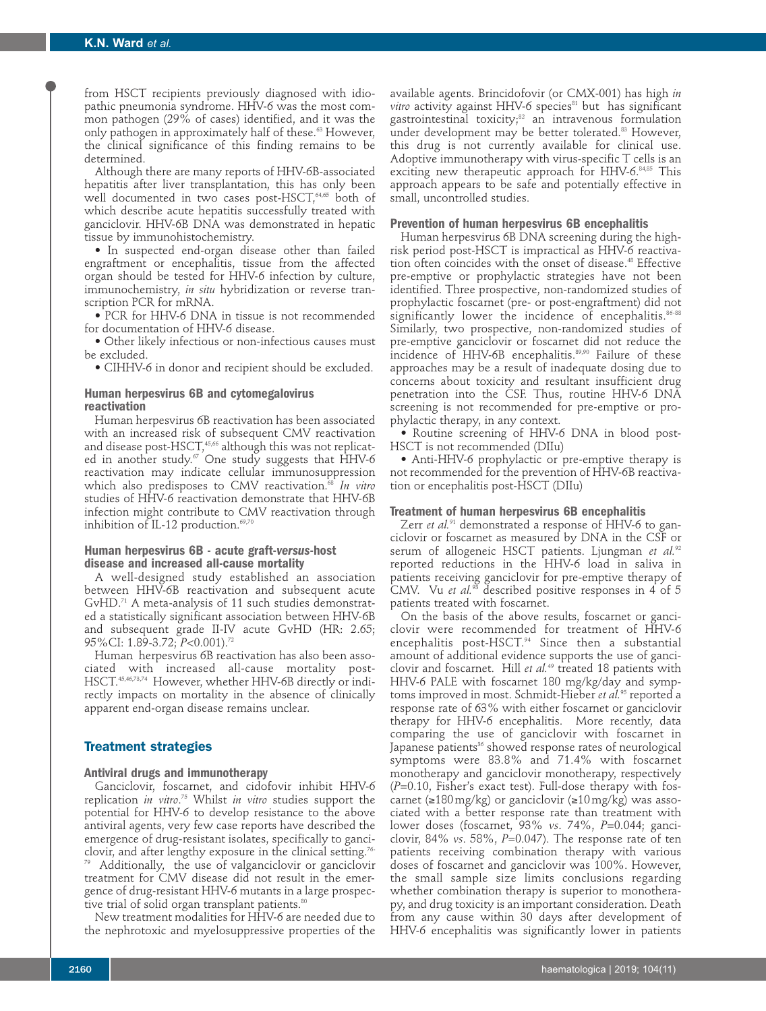from HSCT recipients previously diagnosed with idiopathic pneumonia syndrome. HHV-6 was the most common pathogen (29% of cases) identified, and it was the only pathogen in approximately half of these. <sup>63</sup> However, the clinical significance of this finding remains to be determined.

Although there are many reports of HHV-6B-associated hepatitis after liver transplantation, this has only been well documented in two cases post-HSCT, 64,65 both of which describe acute hepatitis successfully treated with ganciclovir. HHV-6B DNA was demonstrated in hepatic tissue by immunohistochemistry.

• In suspected end-organ disease other than failed engraftment or encephalitis, tissue from the affected organ should be tested for HHV-6 infection by culture, immunochemistry, *in situ* hybridization or reverse transcription PCR for mRNA.

• PCR for HHV-6 DNA in tissue is not recommended for documentation of HHV-6 disease.

• Other likely infectious or non-infectious causes must be excluded.

• CIHHV-6 in donor and recipient should be excluded.

### **Human herpesvirus 6B and cytomegalovirus reactivation**

Human herpesvirus 6B reactivation has been associated with an increased risk of subsequent CMV reactivation and disease post-HSCT, 45,66 although this was not replicated in another study. <sup>67</sup> One study suggests that HHV-6 reactivation may indicate cellular immunosuppression which also predisposes to CMV reactivation. <sup>68</sup> *In vitro* studies of HHV-6 reactivation demonstrate that HHV-6B infection might contribute to CMV reactivation through inhibition of IL-12 production. 69,70

### **Human herpesvirus 6B - acute graft-***versus***-host disease and increased all-cause mortality**

A well-designed study established an association between HHV-6B reactivation and subsequent acute GvHD. <sup>71</sup> A meta-analysis of 11 such studies demonstrated a statistically significant association between HHV-6B and subsequent grade II-IV acute GvHD (HR: 2.65; 95%CI: 1.89-3.72; *P*<0.001). 72

Human herpesvirus 6B reactivation has also been associated with increased all-cause mortality post-HSCT. 45,46,73,74 However, whether HHV-6B directly or indirectly impacts on mortality in the absence of clinically apparent end-organ disease remains unclear.

### **Treatment strategies**

### **Antiviral drugs and immunotherapy**

Ganciclovir, foscarnet, and cidofovir inhibit HHV-6 replication *in vitro*. <sup>75</sup> Whilst *in vitro* studies support the potential for HHV-6 to develop resistance to the above antiviral agents, very few case reports have described the emergence of drug-resistant isolates, specifically to ganciclovir, and after lengthy exposure in the clinical setting. 76- Additionally, the use of valganciclovir or ganciclovir treatment for CMV disease did not result in the emergence of drug-resistant HHV-6 mutants in a large prospective trial of solid organ transplant patients. 80

New treatment modalities for HHV-6 are needed due to the nephrotoxic and myelosuppressive properties of the available agents. Brincidofovir (or CMX-001) has high *in vitro* activity against HHV-6 species<sup>81</sup> but has significant gastrointestinal toxicity; <sup>82</sup> an intravenous formulation under development may be better tolerated. <sup>83</sup> However, this drug is not currently available for clinical use. Adoptive immunotherapy with virus-specific T cells is an exciting new therapeutic approach for HHV-6. 84,85 This approach appears to be safe and potentially effective in small, uncontrolled studies.

### **Prevention of human herpesvirus 6B encephalitis**

Human herpesvirus 6B DNA screening during the highrisk period post-HSCT is impractical as HHV-6 reactivation often coincides with the onset of disease. <sup>48</sup> Effective pre-emptive or prophylactic strategies have not been identified. Three prospective, non-randomized studies of prophylactic foscarnet (pre- or post-engraftment) did not significantly lower the incidence of encephalitis.<sup>86-88</sup> Similarly, two prospective, non-randomized studies of pre-emptive ganciclovir or foscarnet did not reduce the incidence of HHV-6B encephalitis. 89,90 Failure of these approaches may be a result of inadequate dosing due to concerns about toxicity and resultant insufficient drug penetration into the CSF. Thus, routine HHV-6 DNA screening is not recommended for pre-emptive or prophylactic therapy, in any context.

• Routine screening of HHV-6 DNA in blood post-HSCT is not recommended (DIIu)

• Anti-HHV-6 prophylactic or pre-emptive therapy is not recommended for the prevention of HHV-6B reactivation or encephalitis post-HSCT (DIIu)

### **Treatment of human herpesvirus 6B encephalitis**

Zerr *et al.* <sup>91</sup> demonstrated a response of HHV-6 to ganciclovir or foscarnet as measured by DNA in the CSF or serum of allogeneic HSCT patients. Ljungman *et al.* 92 reported reductions in the HHV-6 load in saliva in patients receiving ganciclovir for pre-emptive therapy of CMV. Vu *et al.* <sup>93</sup> described positive responses in 4 of 5 patients treated with foscarnet.

On the basis of the above results, foscarnet or ganciclovir were recommended for treatment of HHV-6 encephalitis post-HSCT. <sup>94</sup> Since then a substantial amount of additional evidence supports the use of ganciclovir and foscarnet. Hill *et al.* <sup>49</sup> treated 18 patients with HHV-6 PALE with foscarnet 180 mg/kg/day and symptoms improved in most. Schmidt-Hieber *et al.* <sup>95</sup> reported a response rate of 63% with either foscarnet or ganciclovir therapy for HHV-6 encephalitis. More recently, data comparing the use of ganciclovir with foscarnet in Japanese patients<sup>36</sup> showed response rates of neurological symptoms were 83.8% and 71.4% with foscarnet monotherapy and ganciclovir monotherapy, respectively (*P*=0.10, Fisher's exact test). Full-dose therapy with foscarnet (≥180mg/kg) or ganciclovir (≥10mg/kg) was associated with a better response rate than treatment with lower doses (foscarnet, 93% *vs*. 74%, *P*=0.044; ganciclovir, 84% *vs*. 58%, *P*=0.047). The response rate of ten patients receiving combination therapy with various doses of foscarnet and ganciclovir was 100%. However, the small sample size limits conclusions regarding whether combination therapy is superior to monotherapy, and drug toxicity is an important consideration. Death from any cause within 30 days after development of HHV-6 encephalitis was significantly lower in patients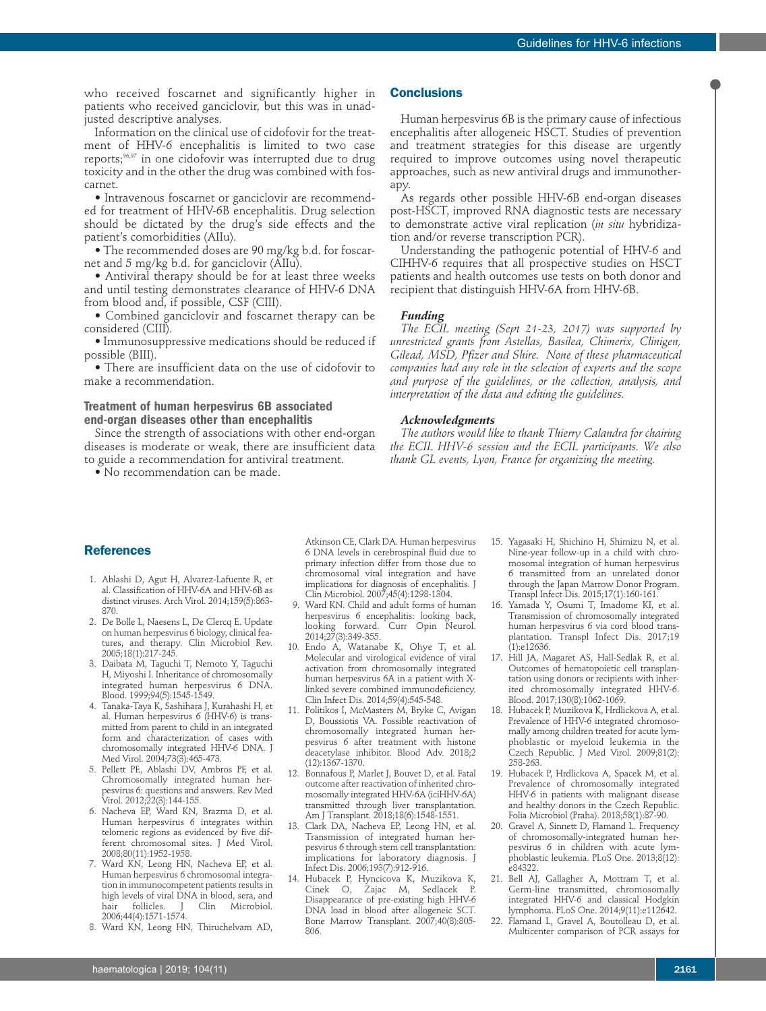who received foscarnet and significantly higher in patients who received ganciclovir, but this was in unadjusted descriptive analyses.

Information on the clinical use of cidofovir for the treatment of HHV-6 encephalitis is limited to two case reports; 96,97 in one cidofovir was interrupted due to drug toxicity and in the other the drug was combined with foscarnet.

• Intravenous foscarnet or ganciclovir are recommended for treatment of HHV-6B encephalitis. Drug selection should be dictated by the drug's side effects and the patient's comorbidities (AIIu).

• The recommended doses are 90 mg/kg b.d. for foscarnet and 5 mg/kg b.d. for ganciclovir (AIIu).

• Antiviral therapy should be for at least three weeks and until testing demonstrates clearance of HHV-6 DNA from blood and, if possible, CSF (CIII).

• Combined ganciclovir and foscarnet therapy can be considered (CIII).

• Immunosuppressive medications should be reduced if possible (BIII).

• There are insufficient data on the use of cidofovir to make a recommendation.

### **Treatment of human herpesvirus 6B associated end-organ diseases other than encephalitis**

Since the strength of associations with other end-organ diseases is moderate or weak, there are insufficient data to guide a recommendation for antiviral treatment.

• No recommendation can be made.

### **Conclusions**

Human herpesvirus 6B is the primary cause of infectious encephalitis after allogeneic HSCT. Studies of prevention and treatment strategies for this disease are urgently required to improve outcomes using novel therapeutic approaches, such as new antiviral drugs and immunotherapy.

As regards other possible HHV-6B end-organ diseases post-HSCT, improved RNA diagnostic tests are necessary to demonstrate active viral replication (*in situ* hybridization and/or reverse transcription PCR).

Understanding the pathogenic potential of HHV-6 and CIHHV-6 requires that all prospective studies on HSCT patients and health outcomes use tests on both donor and recipient that distinguish HHV-6A from HHV-6B.

### *Funding*

*The ECIL meeting (Sept 21-23, 2017) was supported by unrestricted grants from Astellas, Basilea, Chimerix, Clinigen, Gilead, MSD, Pfizer and Shire. None of these pharmaceutical companies had any role in the selection of experts and the scope and purpose of the guidelines, or the collection, analysis, and interpretation of the data and editing the guidelines.*

#### *Acknowledgments*

*The authors would like to thank Thierry Calandra for chairing the ECIL HHV-6 session and the ECIL participants. We also thank GL events, Lyon, France for organizing the meeting.*

### **References**

- 1. Ablashi D, Agut H, Alvarez-Lafuente R, et al. Classification of HHV-6A and HHV-6B as distinct viruses. Arch Virol. 2014;159(5):863- 870.
- 2. De Bolle L, Naesens L, De Clercq E. Update on human herpesvirus 6 biology, clinical features, and therapy. Clin Microbiol Rev. 2005;18(1):217-245.
- 3. Daibata M, Taguchi T, Nemoto Y, Taguchi H, Miyoshi I. Inheritance of chromosomally integrated human herpesvirus 6 DNA. Blood. 1999;94(5):1545-1549.
- 4. Tanaka-Taya K, Sashihara J, Kurahashi H, et al. Human herpesvirus 6 (HHV-6) is transmitted from parent to child in an integrated form and characterization of cases with chromosomally integrated HHV-6 DNA. J Med Virol. 2004;73(3):465-473.
- 5. Pellett PE, Ablashi DV, Ambros PF, et al. Chromosomally integrated human herpesvirus 6: questions and answers. Rev Med Virol. 2012;22(3):144-155.
- 6. Nacheva EP, Ward KN, Brazma D, et al. Human herpesvirus 6 integrates within telomeric regions as evidenced by five different chromosomal sites. J Med Virol. 2008;80(11):1952-1958.
- 7. Ward KN, Leong HN, Nacheva EP, et al. Human herpesvirus 6 chromosomal integration in immunocompetent patients results in high levels of viral DNA in blood, sera, and<br>hair follicles. J Clin Microbiol. hair follicles. J 2006;44(4):1571-1574.
- 8. Ward KN, Leong HN, Thiruchelvam AD,

Atkinson CE, Clark DA. Human herpesvirus 6 DNA levels in cerebrospinal fluid due to primary infection differ from those due to chromosomal viral integration and have implications for diagnosis of encephalitis. J Clin Microbiol. 2007;45(4):1298-1304.

- 9. Ward KN. Child and adult forms of human herpesvirus 6 encephalitis: looking back, looking forward. Curr Opin Neurol. 2014;27(3):349-355.
- 10. Endo A, Watanabe K, Ohye T, et al. Molecular and virological evidence of viral activation from chromosomally integrated human herpesvirus 6A in a patient with Xlinked severe combined immunodeficiency. Clin Infect Dis. 2014;59(4):545-548.
- 11. Politikos I, McMasters M, Bryke C, Avigan D, Boussiotis VA. Possible reactivation of chromosomally integrated human herpesvirus 6 after treatment with histone deacetylase inhibitor. Blood Adv. 2018;2 (12):1367-1370.
- 12. Bonnafous P, Marlet J, Bouvet D, et al. Fatal outcome after reactivation of inherited chromosomally integrated HHV-6A (iciHHV-6A) transmitted through liver transplantation. Am J Transplant. 2018;18(6):1548-1551.
- 13. Clark DA, Nacheva EP, Leong HN, et al. Transmission of integrated human herpesvirus 6 through stem cell transplantation: implications for laboratory diagnosis. J Infect Dis. 2006;193(7):912-916.
- 14. Hubacek P, Hyncicova K, Muzikova K, Cinek O, Zajac M, Sedlacek P. Disappearance of pre-existing high HHV-6 DNA load in blood after allogeneic SCT. Bone Marrow Transplant. 2007;40(8):805- 806.
- 15. Yagasaki H, Shichino H, Shimizu N, et al. Nine-year follow-up in a child with chromosomal integration of human herpesvirus 6 transmitted from an unrelated donor through the Japan Marrow Donor Program. Transpl Infect Dis. 2015;17(1):160-161.
- 16. Yamada Y, Osumi T, Imadome KI, et al. Transmission of chromosomally integrated human herpesvirus 6 via cord blood transplantation. Transpl Infect Dis. 2017;19 (1):e12636.
- 17. Hill JA, Magaret AS, Hall-Sedlak R, et al. Outcomes of hematopoietic cell transplantation using donors or recipients with inherited chromosomally integrated HHV-6. Blood. 2017;130(8):1062-1069.
- 18. Hubacek P, Muzikova K, Hrdlickova A, et al. Prevalence of HHV-6 integrated chromosomally among children treated for acute lymphoblastic or myeloid leukemia in the Czech Republic. J Med Virol. 2009;81(2): 258-263.
- 19. Hubacek P, Hrdlickova A, Spacek M, et al. Prevalence of chromosomally integrated HHV-6 in patients with malignant disease and healthy donors in the Czech Republic. Folia Microbiol (Praha). 2013;58(1):87-90.
- 20. Gravel A, Sinnett D, Flamand L. Frequency of chromosomally-integrated human herpesvirus 6 in children with acute lymphoblastic leukemia. PLoS One. 2013;8(12): e84322.
- 21. Bell AJ, Gallagher A, Mottram T, et al. Germ-line transmitted, chromosomally integrated HHV-6 and classical Hodgkin lymphoma. PLoS One. 2014;9(11):e112642.
- 22. Flamand L, Gravel A, Boutolleau D, et al. Multicenter comparison of PCR assays for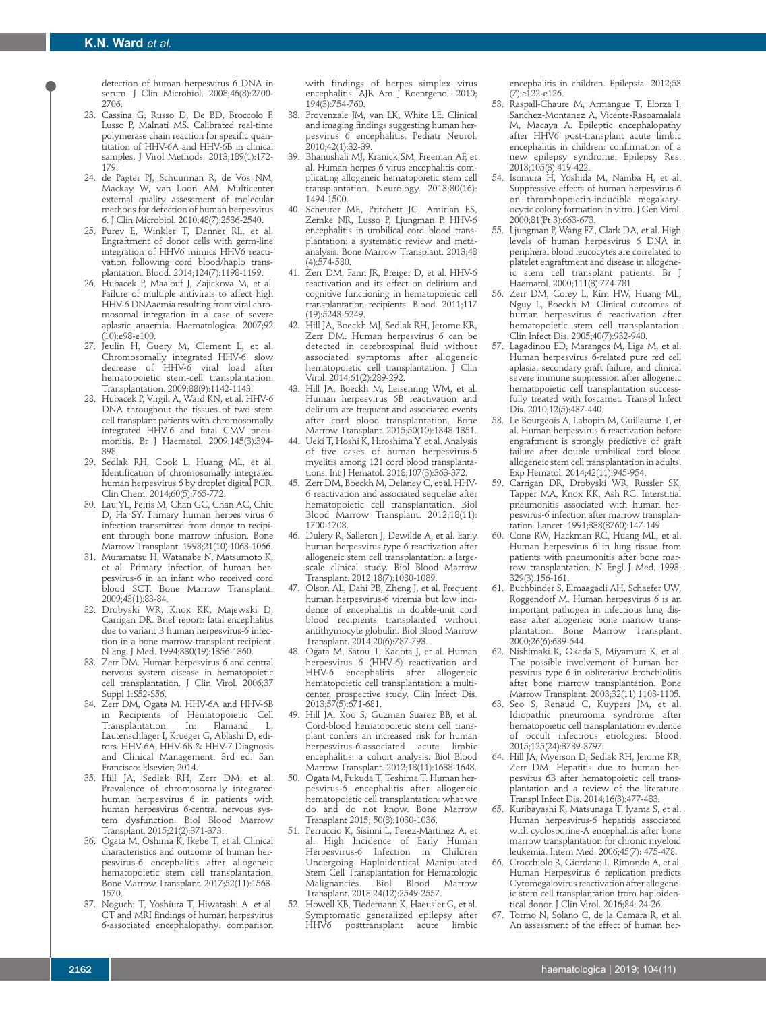detection of human herpesvirus 6 DNA in serum. J Clin Microbiol. 2008;46(8):2700- 2706.

- 23. Cassina G, Russo D, De BD, Broccolo F, Lusso P, Malnati MS. Calibrated real-time polymerase chain reaction for specific quantitation of HHV-6A and HHV-6B in clinical samples. J Virol Methods. 2013;189(1):172- 179.
- 24. de Pagter PJ, Schuurman R, de Vos NM, Mackay W, van Loon AM. Multicenter external quality assessment of molecular methods for detection of human herpesvirus 6. J Clin Microbiol. 2010;48(7):2536-2540.
- 25. Purev E, Winkler T, Danner RL, et al. Engraftment of donor cells with germ-line integration of HHV6 mimics HHV6 reactivation following cord blood/haplo transplantation. Blood. 2014;124(7):1198-1199.
- 26. Hubacek P, Maalouf J, Zajickova M, et al. Failure of multiple antivirals to affect high HHV-6 DNAaemia resulting from viral chromosomal integration in a case of severe aplastic anaemia. Haematologica. 2007;92  $(10):e98-e100.$
- 27. Jeulin H, Guery M, Clement L, et al. Chromosomally integrated HHV-6: slow decrease of HHV-6 viral load after hematopoietic stem-cell transplantation. Transplantation. 2009;88(9):1142-1143.
- 28. Hubacek P, Virgili A, Ward KN, et al. HHV-6 DNA throughout the tissues of two stem cell transplant patients with chromosomally integrated HHV-6 and fatal CMV pneumonitis. Br J Haematol. 2009;145(3):394- 398.
- 29. Sedlak RH, Cook L, Huang ML, et al. Identification of chromosomally integrated human herpesvirus 6 by droplet digital PCR. Clin Chem. 2014;60(5):765-772.
- Lau YL, Peiris M, Chan GC, Chan AC, Chiu D, Ha SY. Primary human herpes virus 6 infection transmitted from donor to recipient through bone marrow infusion. Bone Marrow Transplant. 1998;21(10):1063-1066.
- 31. Muramatsu H, Watanabe N, Matsumoto K, et al. Primary infection of human herpesvirus-6 in an infant who received cord blood SCT. Bone Marrow Transplant. 2009;43(1):83-84.
- 32. Drobyski WR, Knox KK, Majewski D, Carrigan DR. Brief report: fatal encephalitis due to variant B human herpesvirus-6 infection in a bone marrow-transplant recipient. N Engl J Med. 1994;330(19):1356-1360.
- 33. Zerr DM. Human herpesvirus 6 and central nervous system disease in hematopoietic cell transplantation. J Clin Virol. 2006;37 Suppl 1:S52-S56.
- 34. Zerr DM, Ogata M. HHV-6A and HHV-6B in Recipients of Hematopoietic Cell Transplantation. In: Flamand L, Lautenschlager I, Krueger G, Ablashi D, editors. HHV-6A, HHV-6B & HHV-7 Diagnosis and Clinical Management. 3rd ed. San Francisco: Elsevier; 2014.
- 35. Hill JA, Sedlak RH, Zerr DM, et al. Prevalence of chromosomally integrated human herpesvirus 6 in patients with human herpesvirus 6-central nervous system dysfunction. Biol Blood Marrow Transplant. 2015;21(2):371-373.
- 36. Ogata M, Oshima K, Ikebe T, et al. Clinical characteristics and outcome of human herpesvirus-6 encephalitis after allogeneic hematopoietic stem cell transplantation. Bone Marrow Transplant. 2017;52(11):1563- 1570.
- 37. Noguchi T, Yoshiura T, Hiwatashi A, et al. CT and MRI findings of human herpesvirus 6-associated encephalopathy: comparison

with findings of herpes simplex virus encephalitis. AJR Am J Roentgenol. 2010; 194(3):754-760.

- 38. Provenzale JM, van LK, White LE. Clinical and imaging findings suggesting human herpesvirus 6 encephalitis. Pediatr Neurol. 2010;42(1):32-39.
- 39. Bhanushali MJ, Kranick SM, Freeman AF, et al. Human herpes 6 virus encephalitis complicating allogeneic hematopoietic stem cell transplantation. Neurology. 2013;80(16): 1494-1500.
- 40. Scheurer ME, Pritchett JC, Amirian ES, Zemke NR, Lusso P, Ljungman P. HHV-6 encephalitis in umbilical cord blood transplantation: a systematic review and metaanalysis. Bone Marrow Transplant. 2013;48 (4):574-580.
- 41. Zerr DM, Fann JR, Breiger D, et al. HHV-6 reactivation and its effect on delirium and cognitive functioning in hematopoietic cell transplantation recipients. Blood. 2011;117 (19):5243-5249.
- 42. Hill JA, Boeckh MJ, Sedlak RH, Jerome KR, Zerr DM. Human herpesvirus 6 can be detected in cerebrospinal fluid without associated symptoms after allogeneic hematopoietic cell transplantation. J Clin Virol. 2014;61(2):289-292.
- 43. Hill JA, Boeckh M, Leisenring WM, et al. Human herpesvirus 6B reactivation and delirium are frequent and associated events after cord blood transplantation. Bone Marrow Transplant. 2015;50(10):1348-1351.
- 44. Ueki T, Hoshi K, Hiroshima Y, et al. Analysis of five cases of human herpesvirus-6 myelitis among 121 cord blood transplantations. Int J Hematol. 2018;107(3):363-372.
- 45. Zerr DM, Boeckh M, Delaney C, et al. HHV-6 reactivation and associated sequelae after hematopoietic cell transplantation. Biol Blood Marrow Transplant. 2012;18(11): 1700-1708.
- 46. Dulery R, Salleron J, Dewilde A, et al. Early human herpesvirus type 6 reactivation after allogeneic stem cell transplantation: a largescale clinical study. Biol Blood Marrow Transplant. 2012;18(7):1080-1089.
- 47. Olson AL, Dahi PB, Zheng J, et al. Frequent human herpesvirus-6 viremia but low incidence of encephalitis in double-unit cord blood recipients transplanted without antithymocyte globulin. Biol Blood Marrow Transplant. 2014;20(6):787-793.
- 48. Ogata M, Satou T, Kadota J, et al. Human herpesvirus 6 (HHV-6) reactivation and HHV-6 encephalitis after allogeneic hematopoietic cell transplantation: a multicenter, prospective study. Clin Infect Dis. 2013;57(5):671-681.
- 49. Hill JA, Koo S, Guzman Suarez BB, et al. Cord-blood hematopoietic stem cell transplant confers an increased risk for human herpesvirus-6-associated acute limbic encephalitis: a cohort analysis. Biol Blood Marrow Transplant. 2012;18(11):1638-1648.
- 50. Ogata M, Fukuda T, Teshima T. Human herpesvirus-6 encephalitis after allogeneic hematopoietic cell transplantation: what we do and do not know. Bone Marrow Transplant 2015; 50(8):1030-1036.
- 51. Perruccio K, Sisinni L, Perez-Martinez A, et al. High Incidence of Early Human Herpesvirus-6 Infection in Children Undergoing Haploidentical Manipulated Stem Čell Transplantation for Hematologic<br>Malignancies. Biol Blood Marrow Malignancies. Biol Blood Marrow Transplant. 2018;24(12):2549-2557.
- 52. Howell KB, Tiedemann K, Haeusler G, et al. Symptomatic generalized epilepsy after<br>HHV6 posttransplant acute limbic posttransplant acute

encephalitis in children. Epilepsia. 2012;53 (7):e122-e126.

- 53. Raspall-Chaure M, Armangue T, Elorza I, Sanchez-Montanez A, Vicente-Rasoamalala M, Macaya A. Epileptic encephalopathy after HHV6 post-transplant acute limbic encephalitis in children: confirmation of a new epilepsy syndrome. Epilepsy Res. 2013;105(3):419-422.
- 54. Isomura H, Yoshida M, Namba H, et al. Suppressive effects of human herpesvirus-6 on thrombopoietin-inducible megakaryocytic colony formation in vitro. J Gen Virol. 2000;81(Pt 3):663-673.
- 55. Ljungman P, Wang FZ, Clark DA, et al. High levels of human herpesvirus 6 DNA in peripheral blood leucocytes are correlated to platelet engraftment and disease in allogeneic stem cell transplant patients. Br J Haematol. 2000;111(3):774-781.
- 56. Zerr DM, Corey L, Kim HW, Huang ML, Nguy L, Boeckh M. Clinical outcomes of human herpesvirus 6 reactivation after hematopoietic stem cell transplantation. Clin Infect Dis. 2005;40(7):932-940.
- Lagadinou ED, Marangos M, Liga M, et al. Human herpesvirus 6-related pure red cell aplasia, secondary graft failure, and clinical severe immune suppression after allogeneic hematopoietic cell transplantation successfully treated with foscarnet. Transpl Infect Dis. 2010;12(5):437-440.
- 58. Le Bourgeois A, Labopin M, Guillaume T, et al. Human herpesvirus 6 reactivation before engraftment is strongly predictive of graft failure after double umbilical cord blood allogeneic stem cell transplantation in adults. Exp Hematol. 2014;42(11):945-954.
- 59. Carrigan DR, Drobyski WR, Russler SK, Tapper MA, Knox KK, Ash RC. Interstitial pneumonitis associated with human herpesvirus-6 infection after marrow transplantation. Lancet. 1991;338(8760):147-149.
- 60. Cone RW, Hackman RC, Huang ML, et al. Human herpesvirus 6 in lung tissue from patients with pneumonitis after bone marrow transplantation. N Engl J Med. 1993; 329(3):156-161.
- 61. Buchbinder S, Elmaagacli AH, Schaefer UW, Roggendorf M. Human herpesvirus 6 is an important pathogen in infectious lung disease after allogeneic bone marrow transplantation. Bone Marrow Transplant. 2000;26(6):639-644.
- 62. Nishimaki K, Okada S, Miyamura K, et al. The possible involvement of human herpesvirus type 6 in obliterative bronchiolitis after bone marrow transplantation. Bone Marrow Transplant. 2003;32(11):1103-1105.
- 63. Seo S, Renaud C, Kuypers JM, et al. Idiopathic pneumonia syndrome after hematopoietic cell transplantation: evidence of occult infectious etiologies. Blood. 2015;125(24):3789-3797.
- 64. Hill JA, Myerson D, Sedlak RH, Jerome KR, Zerr DM. Hepatitis due to human herpesvirus 6B after hematopoietic cell transplantation and a review of the literature. Transpl Infect Dis. 2014;16(3):477-483.
- 65. Kuribayashi K, Matsunaga T, Iyama S, et al. Human herpesvirus-6 hepatitis associated with cyclosporine-A encephalitis after bone marrow transplantation for chronic myeloid leukemia. Intern Med. 2006;45(7): 475-478.
- 66. Crocchiolo R, Giordano L, Rimondo A, et al. Human Herpesvirus 6 replication predicts Cytomegalovirus reactivation after allogeneic stem cell transplantation from haploidentical donor. J Clin Virol. 2016;84: 24-26.
- 67. Tormo N, Solano C, de la Camara R, et al. An assessment of the effect of human her-